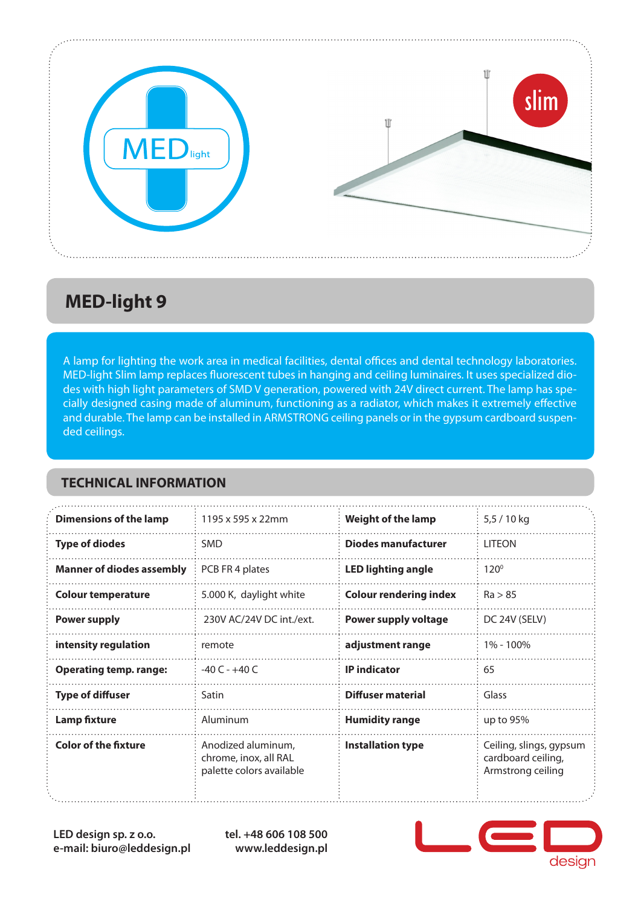

## **MED-light 9**

A lamp for lighting the work area in medical facilities, dental offices and dental technology laboratories. MED-light Slim lamp replaces fluorescent tubes in hanging and ceiling luminaires. It uses specialized diodes with high light parameters of SMD V generation, powered with 24V direct current. The lamp has specially designed casing made of aluminum, functioning as a radiator, which makes it extremely effective and durable. The lamp can be installed in ARMSTRONG ceiling panels or in the gypsum cardboard suspended ceilings.

#### **TECHNICAL INFORMATION**

| <b>Dimensions of the lamp</b>    | 1195 x 595 x 22mm                                                       | <b>Weight of the lamp</b>     | 5,5 / 10 kg                                                        |
|----------------------------------|-------------------------------------------------------------------------|-------------------------------|--------------------------------------------------------------------|
| <b>Type of diodes</b>            | <b>SMD</b>                                                              | <b>Diodes manufacturer</b>    | <b>LITEON</b>                                                      |
| <b>Manner of diodes assembly</b> | PCB FR 4 plates                                                         | <b>LED lighting angle</b>     | $120^\circ$                                                        |
| <b>Colour temperature</b>        | 5.000 K, daylight white                                                 | <b>Colour rendering index</b> | Ra > 85                                                            |
| <b>Power supply</b>              | 230V AC/24V DC int./ext.                                                | <b>Power supply voltage</b>   | DC 24V (SELV)                                                      |
| intensity regulation             | remote                                                                  | adjustment range              | 1% - 100%                                                          |
| <b>Operating temp. range:</b>    | $-40C - +40C$                                                           | <b>IP</b> indicator           | 65                                                                 |
| <b>Type of diffuser</b>          | Satin                                                                   | Diffuser material             | Glass                                                              |
| <b>Lamp fixture</b>              | Aluminum                                                                | <b>Humidity range</b>         | up to $95%$                                                        |
| <b>Color of the fixture</b>      | Anodized aluminum,<br>chrome, inox, all RAL<br>palette colors available | <b>Installation type</b>      | Ceiling, slings, gypsum<br>cardboard ceiling,<br>Armstrong ceiling |

**LED design sp. z o.o. e-mail: biuro@leddesign.pl** **tel. +48 606 108 500 www.leddesign.pl**